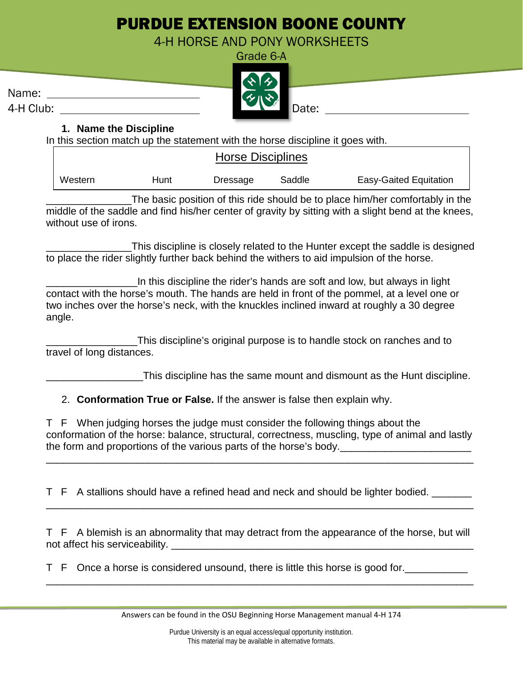# PURDUE EXTENSION BOONE COUNTY

4-H HORSE AND PONY WORKSHEETS



Name:

## **1. Name the Discipline**

In this section match up the statement with the horse discipline it goes with.

| <b>Horse Disciplines</b> |      |          |        |                               |
|--------------------------|------|----------|--------|-------------------------------|
| Western                  | Hunt | Dressage | Saddle | <b>Easy-Gaited Equitation</b> |

The basic position of this ride should be to place him/her comfortably in the middle of the saddle and find his/her center of gravity by sitting with a slight bend at the knees, without use of irons.

\_\_\_\_\_\_\_\_\_\_\_\_\_\_\_This discipline is closely related to the Hunter except the saddle is designed to place the rider slightly further back behind the withers to aid impulsion of the horse.

\_\_\_\_\_\_\_\_\_\_\_\_\_\_\_\_In this discipline the rider's hands are soft and low, but always in light contact with the horse's mouth. The hands are held in front of the pommel, at a level one or two inches over the horse's neck, with the knuckles inclined inward at roughly a 30 degree angle.

This discipline's original purpose is to handle stock on ranches and to travel of long distances.

\_\_\_\_\_\_\_\_\_\_\_\_\_\_\_\_\_This discipline has the same mount and dismount as the Hunt discipline.

2. **Conformation True or False.** If the answer is false then explain why.

T F When judging horses the judge must consider the following things about the conformation of the horse: balance, structural, correctness, muscling, type of animal and lastly the form and proportions of the various parts of the horse's body.

\_\_\_\_\_\_\_\_\_\_\_\_\_\_\_\_\_\_\_\_\_\_\_\_\_\_\_\_\_\_\_\_\_\_\_\_\_\_\_\_\_\_\_\_\_\_\_\_\_\_\_\_\_\_\_\_\_\_\_\_\_\_\_\_\_\_\_\_\_\_\_\_\_\_\_

T F A stallions should have a refined head and neck and should be lighter bodied. \_\_\_\_\_\_\_

T F A blemish is an abnormality that may detract from the appearance of the horse, but will not affect his serviceability. The state of the state of the state of the state of the state of the state of the state of the state of the state of the state of the state of the state of the state of the state of the state

\_\_\_\_\_\_\_\_\_\_\_\_\_\_\_\_\_\_\_\_\_\_\_\_\_\_\_\_\_\_\_\_\_\_\_\_\_\_\_\_\_\_\_\_\_\_\_\_\_\_\_\_\_\_\_\_\_\_\_\_\_\_\_\_\_\_\_\_\_\_\_\_\_\_\_

\_\_\_\_\_\_\_\_\_\_\_\_\_\_\_\_\_\_\_\_\_\_\_\_\_\_\_\_\_\_\_\_\_\_\_\_\_\_\_\_\_\_\_\_\_\_\_\_\_\_\_\_\_\_\_\_\_\_\_\_\_\_\_\_\_\_\_\_\_\_\_\_\_\_\_

T F Once a horse is considered unsound, there is little this horse is good for.\_\_\_\_\_\_\_\_\_\_\_